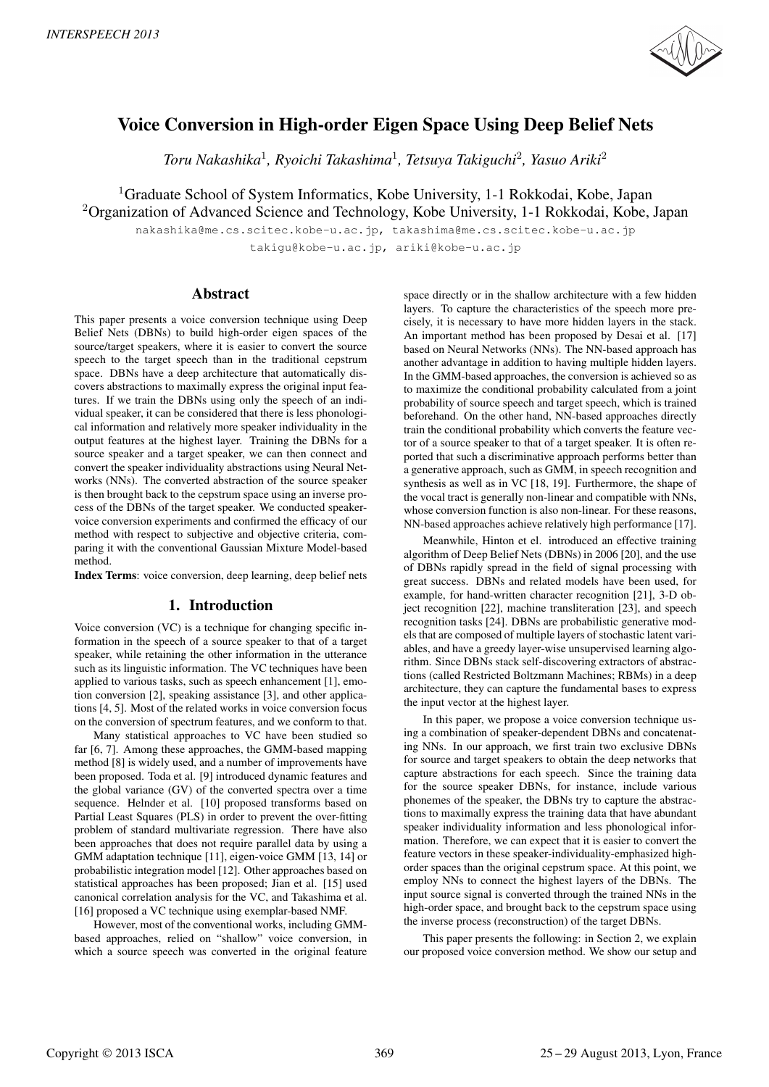

# Voice Conversion in High-order Eigen Space Using Deep Belief Nets

*Toru Nakashika*<sup>1</sup>*, Ryoichi Takashima*<sup>1</sup>*, Tetsuya Takiguchi*<sup>2</sup>*, Yasuo Ariki*<sup>2</sup>

<sup>1</sup>Graduate School of System Informatics, Kobe University, 1-1 Rokkodai, Kobe, Japan <sup>2</sup>Organization of Advanced Science and Technology, Kobe University, 1-1 Rokkodai, Kobe, Japan

nakashika@me.cs.scitec.kobe-u.ac.jp, takashima@me.cs.scitec.kobe-u.ac.jp takigu@kobe-u.ac.jp, ariki@kobe-u.ac.jp

# Abstract

This paper presents a voice conversion technique using Deep Belief Nets (DBNs) to build high-order eigen spaces of the source/target speakers, where it is easier to convert the source speech to the target speech than in the traditional cepstrum space. DBNs have a deep architecture that automatically discovers abstractions to maximally express the original input features. If we train the DBNs using only the speech of an individual speaker, it can be considered that there is less phonological information and relatively more speaker individuality in the output features at the highest layer. Training the DBNs for a source speaker and a target speaker, we can then connect and convert the speaker individuality abstractions using Neural Networks (NNs). The converted abstraction of the source speaker is then brought back to the cepstrum space using an inverse process of the DBNs of the target speaker. We conducted speakervoice conversion experiments and confirmed the efficacy of our method with respect to subjective and objective criteria, comparing it with the conventional Gaussian Mixture Model-based method.

Index Terms: voice conversion, deep learning, deep belief nets

# 1. Introduction

Voice conversion (VC) is a technique for changing specific information in the speech of a source speaker to that of a target speaker, while retaining the other information in the utterance such as its linguistic information. The VC techniques have been applied to various tasks, such as speech enhancement [1], emotion conversion [2], speaking assistance [3], and other applications [4, 5]. Most of the related works in voice conversion focus on the conversion of spectrum features, and we conform to that.

Many statistical approaches to VC have been studied so far [6, 7]. Among these approaches, the GMM-based mapping method [8] is widely used, and a number of improvements have been proposed. Toda et al. [9] introduced dynamic features and the global variance (GV) of the converted spectra over a time sequence. Helnder et al. [10] proposed transforms based on Partial Least Squares (PLS) in order to prevent the over-fitting problem of standard multivariate regression. There have also been approaches that does not require parallel data by using a GMM adaptation technique [11], eigen-voice GMM [13, 14] or probabilistic integration model [12]. Other approaches based on statistical approaches has been proposed; Jian et al. [15] used canonical correlation analysis for the VC, and Takashima et al. [16] proposed a VC technique using exemplar-based NMF.

However, most of the conventional works, including GMMbased approaches, relied on "shallow" voice conversion, in which a source speech was converted in the original feature space directly or in the shallow architecture with a few hidden layers. To capture the characteristics of the speech more precisely, it is necessary to have more hidden layers in the stack. An important method has been proposed by Desai et al. [17] based on Neural Networks (NNs). The NN-based approach has another advantage in addition to having multiple hidden layers. In the GMM-based approaches, the conversion is achieved so as to maximize the conditional probability calculated from a joint probability of source speech and target speech, which is trained beforehand. On the other hand, NN-based approaches directly train the conditional probability which converts the feature vector of a source speaker to that of a target speaker. It is often reported that such a discriminative approach performs better than a generative approach, such as GMM, in speech recognition and synthesis as well as in VC [18, 19]. Furthermore, the shape of the vocal tract is generally non-linear and compatible with NNs, whose conversion function is also non-linear. For these reasons, NN-based approaches achieve relatively high performance [17].

Meanwhile, Hinton et el. introduced an effective training algorithm of Deep Belief Nets (DBNs) in 2006 [20], and the use of DBNs rapidly spread in the field of signal processing with great success. DBNs and related models have been used, for example, for hand-written character recognition [21], 3-D object recognition [22], machine transliteration [23], and speech recognition tasks [24]. DBNs are probabilistic generative models that are composed of multiple layers of stochastic latent variables, and have a greedy layer-wise unsupervised learning algorithm. Since DBNs stack self-discovering extractors of abstractions (called Restricted Boltzmann Machines; RBMs) in a deep architecture, they can capture the fundamental bases to express the input vector at the highest layer.

In this paper, we propose a voice conversion technique using a combination of speaker-dependent DBNs and concatenating NNs. In our approach, we first train two exclusive DBNs for source and target speakers to obtain the deep networks that capture abstractions for each speech. Since the training data for the source speaker DBNs, for instance, include various phonemes of the speaker, the DBNs try to capture the abstractions to maximally express the training data that have abundant speaker individuality information and less phonological information. Therefore, we can expect that it is easier to convert the feature vectors in these speaker-individuality-emphasized highorder spaces than the original cepstrum space. At this point, we employ NNs to connect the highest layers of the DBNs. The input source signal is converted through the trained NNs in the high-order space, and brought back to the cepstrum space using the inverse process (reconstruction) of the target DBNs.

This paper presents the following: in Section 2, we explain our proposed voice conversion method. We show our setup and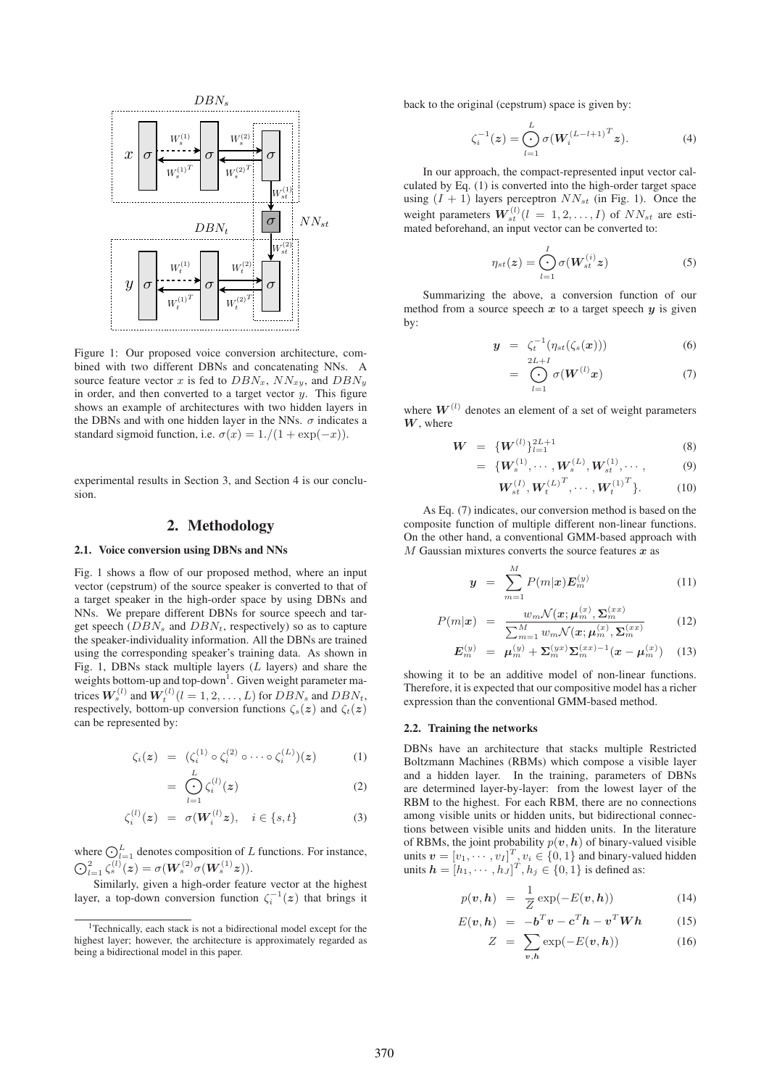

Figure 1: Our proposed voice conversion architecture, combined with two different DBNs and concatenating NNs. A source feature vector x is fed to  $DBN_x$ ,  $NN_{xy}$ , and  $DBN_y$ in order, and then converted to a target vector  $y$ . This figure shows an example of architectures with two hidden layers in the DBNs and with one hidden layer in the NNs.  $\sigma$  indicates a standard sigmoid function, i.e.  $\sigma(x)=1/(1+\exp(-x)).$ 

experimental results in Section 3, and Section 4 is our conclusion.

# 2. Methodology

#### 2.1. Voice conversion using DBNs and NNs

Fig. 1 shows a flow of our proposed method, where an input vector (cepstrum) of the source speaker is converted to that of a target speaker in the high-order space by using DBNs and NNs. We prepare different DBNs for source speech and target speech  $(DBN<sub>s</sub>$  and  $DBN<sub>t</sub>$ , respectively) so as to capture the speaker-individuality information. All the DBNs are trained using the corresponding speaker's training data. As shown in Fig. 1, DBNs stack multiple layers  $(L$  layers) and share the weights bottom-up and top-down<sup>1</sup>. Given weight parameter matrices  $\boldsymbol{W}_{s}^{(l)}$  and  $\boldsymbol{W}_{t}^{(l)}$   $(l = 1, 2, \ldots, L)$  for  $DBN_s$  and  $DBN_t$ , respectively, bottom-up conversion functions  $\zeta_s(z)$  and  $\zeta_t(z)$ can be represented by:

$$
\zeta_i(z) = (\zeta_i^{(1)} \circ \zeta_i^{(2)} \circ \cdots \circ \zeta_i^{(L)})(z) \qquad (1)
$$

$$
= \bigodot_{l=1}^{L} \zeta_i^{(l)}(z) \tag{2}
$$

$$
\zeta_i^{(l)}(z) = \sigma(W_i^{(l)}z), \quad i \in \{s, t\} \tag{3}
$$

where  $\bigodot_{l=1}^{L}$  denotes composition of L functions. For instance,  $\bigodot_{l=1}^2 \zeta^{(l)}_s(z) = \sigma(W^{(2)}_s\sigma(W^{(1)}_s z)).$ 

Similarly, given a high-order feature vector at the highest layer, a top-down conversion function  $\zeta_i^{-1}(z)$  that brings it back to the original (cepstrum) space is given by:

$$
\zeta_i^{-1}(z) = \bigodot_{l=1}^L \sigma(W_i^{(L-l+1)^T} z). \tag{4}
$$

In our approach, the compact-represented input vector calculated by Eq. (1) is converted into the high-order target space using  $(I + 1)$  layers perceptron  $NN_{st}$  (in Fig. 1). Once the weight parameters  $W_{st}^{(l)}(l = 1, 2, ..., I)$  of  $NN_{st}$  are estimated beforehand, an input vector can be converted to:

$$
\eta_{st}(z) = \bigodot_{l=1}^{I} \sigma(W_{st}^{(i)}z)
$$
\n(5)

Summarizing the above, a conversion function of our method from a source speech  $x$  to a target speech  $y$  is given by:

$$
y = \zeta_t^{-1}(\eta_{st}(\zeta_s(x))) \tag{6}
$$

$$
= \bigodot_{l=1}^{2L+I} \sigma(W^{(l)}x) \tag{7}
$$

where  $W^{(l)}$  denotes an element of a set of weight parameters  $W$ , where

$$
W = \{W^{(l)}\}_{l=1}^{2L+1} \tag{8}
$$

$$
= \{W_s^{(1)}, \cdots, W_s^{(L)}, W_{st}^{(1)}, \cdots, \qquad (9)
$$

$$
\mathbf{W}_{st}^{(I)}, \mathbf{W}_{t}^{(L)^{T}}, \cdots, \mathbf{W}_{t}^{(1)^{T}}\}.
$$
 (10)

As Eq. (7) indicates, our conversion method is based on the composite function of multiple different non-linear functions. On the other hand, a conventional GMM-based approach with  $M$  Gaussian mixtures converts the source features  $x$  as

$$
y = \sum_{m=1}^{M} P(m|x) E_m^{(y)}
$$
 (11)

$$
P(m|\boldsymbol{x}) = \frac{w_m \mathcal{N}(\boldsymbol{x}; \boldsymbol{\mu}_m^{(x)}, \boldsymbol{\Sigma}_m^{(xx)})}{\sum_{m=1}^M w_m \mathcal{N}(\boldsymbol{x}; \boldsymbol{\mu}_m^{(x)}, \boldsymbol{\Sigma}_m^{(xx)})}
$$
(12)

$$
E_m^{(y)} = \mu_m^{(y)} + \Sigma_m^{(yx)} \Sigma_m^{(xx)-1} (x - \mu_m^{(x)}) \quad (13)
$$

showing it to be an additive model of non-linear functions. Therefore, it is expected that our compositive model has a richer expression than the conventional GMM-based method.

#### 2.2. Training the networks

DBNs have an architecture that stacks multiple Restricted Boltzmann Machines (RBMs) which compose a visible layer and a hidden layer. In the training, parameters of DBNs are determined layer-by-layer: from the lowest layer of the RBM to the highest. For each RBM, there are no connections among visible units or hidden units, but bidirectional connections between visible units and hidden units. In the literature of RBMs, the joint probability  $p(v, h)$  of binary-valued visible units  $v = [v_1, \dots, v_I]^T$ ,  $v_i \in \{0, 1\}$  and binary-valued hidden units  $h = [h_1, \dots, h_J]^T, h_j \in \{0, 1\}$  is defined as:

$$
p(\boldsymbol{v}, \boldsymbol{h}) = \frac{1}{Z} \exp(-E(\boldsymbol{v}, \boldsymbol{h})) \tag{14}
$$

$$
E(v, h) = -b^T v - c^T h - v^T W h \qquad (15)
$$

$$
Z = \sum_{v,h} \exp(-E(v,h)) \tag{16}
$$

 $1$ Technically, each stack is not a bidirectional model except for the highest layer; however, the architecture is approximately regarded as being a bidirectional model in this paper.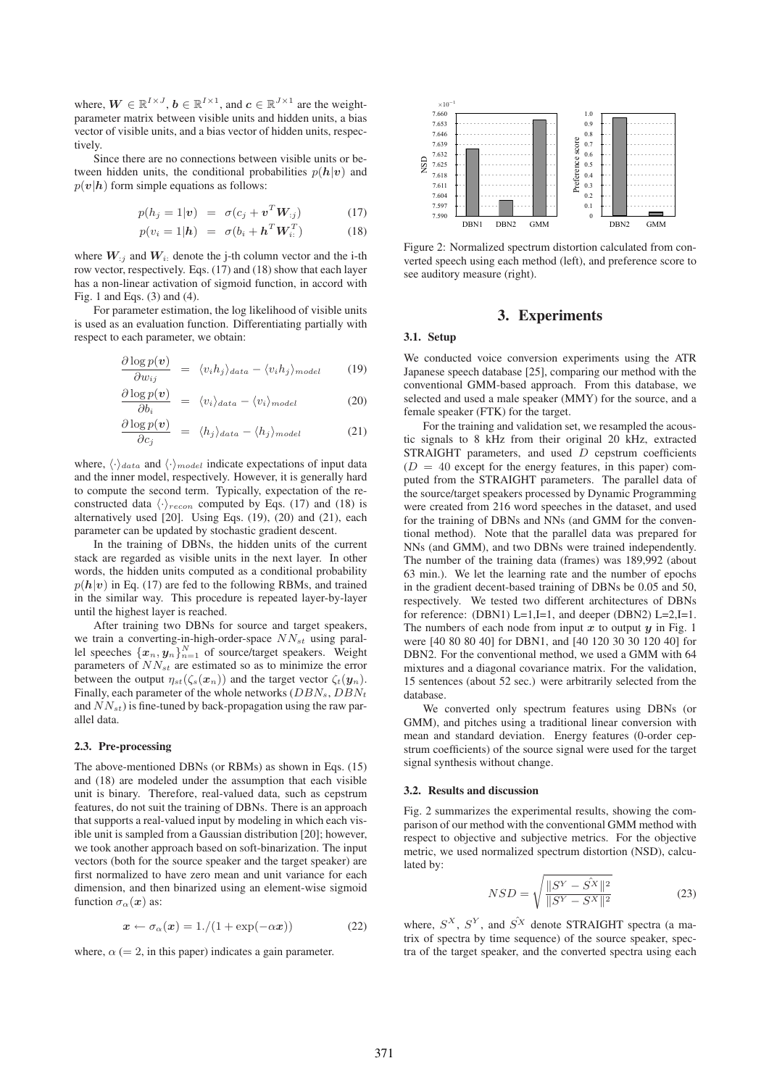where,  $\mathbf{W} \in \mathbb{R}^{I \times J}$ ,  $\mathbf{b} \in \mathbb{R}^{I \times 1}$ , and  $\mathbf{c} \in \mathbb{R}^{J \times 1}$  are the weightparameter matrix between visible units and hidden units, a bias vector of visible units, and a bias vector of hidden units, respectively.

Since there are no connections between visible units or between hidden units, the conditional probabilities  $p(h|v)$  and  $p(v|h)$  form simple equations as follows:

$$
p(h_j = 1|\mathbf{v}) = \sigma(c_j + \mathbf{v}^T \mathbf{W}_{:j}) \tag{17}
$$

$$
p(v_i = 1 | \mathbf{h}) = \sigma(b_i + \mathbf{h}^T \mathbf{W}_{i:}^T)
$$
 (18)

where  $W_{ij}$  and  $W_i$ : denote the j-th column vector and the i-th row vector, respectively. Eqs. (17) and (18) show that each layer has a non-linear activation of sigmoid function, in accord with Fig. 1 and Eqs. (3) and (4).

For parameter estimation, the log likelihood of visible units is used as an evaluation function. Differentiating partially with respect to each parameter, we obtain:

$$
\frac{\partial \log p(\boldsymbol{v})}{\partial w_{ij}} = \langle v_i h_j \rangle_{data} - \langle v_i h_j \rangle_{model} \qquad (19)
$$

$$
\frac{\partial \log p(\boldsymbol{v})}{\partial b_i} = \langle v_i \rangle_{data} - \langle v_i \rangle_{model} \tag{20}
$$

$$
\frac{\partial \log p(\boldsymbol{v})}{\partial c_j} = \langle h_j \rangle_{data} - \langle h_j \rangle_{model} \tag{21}
$$

where,  $\langle \cdot \rangle_{data}$  and  $\langle \cdot \rangle_{model}$  indicate expectations of input data and the inner model, respectively. However, it is generally hard to compute the second term. Typically, expectation of the reconstructed data  $\langle \cdot \rangle_{recon}$  computed by Eqs. (17) and (18) is alternatively used [20]. Using Eqs. (19), (20) and (21), each parameter can be updated by stochastic gradient descent.

In the training of DBNs, the hidden units of the current stack are regarded as visible units in the next layer. In other words, the hidden units computed as a conditional probability  $p(h|v)$  in Eq. (17) are fed to the following RBMs, and trained in the similar way. This procedure is repeated layer-by-layer until the highest layer is reached.

After training two DBNs for source and target speakers, we train a converting-in-high-order-space  $NN_{st}$  using parallel speeches  $\{x_n, y_n\}_{n=1}^N$  of source/target speakers. Weight parameters of  $NN_{st}$  are estimated so as to minimize the error between the output  $\eta_{st}(\zeta_s(x_n))$  and the target vector  $\zeta_t(\mathbf{y}_n)$ . Finally, each parameter of the whole networks  $(DBN<sub>s</sub>, DBN<sub>t</sub>)$ and  $NN_{st}$ ) is fine-tuned by back-propagation using the raw parallel data.

#### 2.3. Pre-processing

The above-mentioned DBNs (or RBMs) as shown in Eqs. (15) and (18) are modeled under the assumption that each visible unit is binary. Therefore, real-valued data, such as cepstrum features, do not suit the training of DBNs. There is an approach that supports a real-valued input by modeling in which each visible unit is sampled from a Gaussian distribution [20]; however, we took another approach based on soft-binarization. The input vectors (both for the source speaker and the target speaker) are first normalized to have zero mean and unit variance for each dimension, and then binarized using an element-wise sigmoid function  $\sigma_{\alpha}(x)$  as:

$$
x \leftarrow \sigma_{\alpha}(x) = 1/(1 + \exp(-\alpha x)) \tag{22}
$$

where,  $\alpha$  (= 2, in this paper) indicates a gain parameter.



Figure 2: Normalized spectrum distortion calculated from converted speech using each method (left), and preference score to see auditory measure (right).

# 3. Experiments

## 3.1. Setup

We conducted voice conversion experiments using the ATR Japanese speech database [25], comparing our method with the conventional GMM-based approach. From this database, we selected and used a male speaker (MMY) for the source, and a female speaker (FTK) for the target.

For the training and validation set, we resampled the acoustic signals to 8 kHz from their original 20 kHz, extracted STRAIGHT parameters, and used D cepstrum coefficients  $(D = 40$  except for the energy features, in this paper) computed from the STRAIGHT parameters. The parallel data of the source/target speakers processed by Dynamic Programming were created from 216 word speeches in the dataset, and used for the training of DBNs and NNs (and GMM for the conventional method). Note that the parallel data was prepared for NNs (and GMM), and two DBNs were trained independently. The number of the training data (frames) was 189,992 (about 63 min.). We let the learning rate and the number of epochs in the gradient decent-based training of DBNs be 0.05 and 50, respectively. We tested two different architectures of DBNs for reference: (DBN1) L=1,I=1, and deeper (DBN2) L=2,I=1. The numbers of each node from input  $x$  to output  $y$  in Fig. 1 were [40 80 80 40] for DBN1, and [40 120 30 30 120 40] for DBN2. For the conventional method, we used a GMM with 64 mixtures and a diagonal covariance matrix. For the validation, 15 sentences (about 52 sec.) were arbitrarily selected from the database.

We converted only spectrum features using DBNs (or GMM), and pitches using a traditional linear conversion with mean and standard deviation. Energy features (0-order cepstrum coefficients) of the source signal were used for the target signal synthesis without change.

#### 3.2. Results and discussion

Fig. 2 summarizes the experimental results, showing the comparison of our method with the conventional GMM method with respect to objective and subjective metrics. For the objective metric, we used normalized spectrum distortion (NSD), calculated by:

$$
NSD = \sqrt{\frac{\|S^Y - S^X\|^2}{\|S^Y - S^X\|^2}}
$$
 (23)

where,  $S^X$ ,  $S^Y$ , and  $\hat{S}^X$  denote STRAIGHT spectra (a matrix of spectra by time sequence) of the source speaker, spectra of the target speaker, and the converted spectra using each